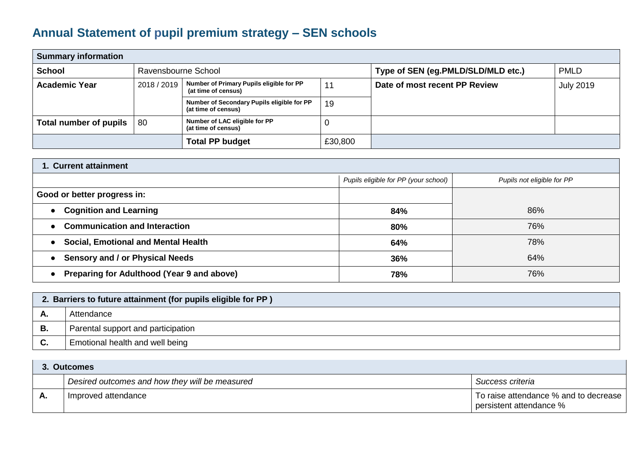## **Annual Statement of pupil premium strategy – SEN schools**

| <b>Summary information</b> |                     |                                                                   |         |                                    |                  |  |  |
|----------------------------|---------------------|-------------------------------------------------------------------|---------|------------------------------------|------------------|--|--|
| <b>School</b>              | Ravensbourne School |                                                                   |         | Type of SEN (eg.PMLD/SLD/MLD etc.) | <b>PMLD</b>      |  |  |
| <b>Academic Year</b>       | 2018 / 2019         | Number of Primary Pupils eligible for PP<br>(at time of census)   | 11      | Date of most recent PP Review      | <b>July 2019</b> |  |  |
|                            |                     | Number of Secondary Pupils eligible for PP<br>(at time of census) | 19      |                                    |                  |  |  |
| Total number of pupils     | 80                  | Number of LAC eligible for PP<br>(at time of census)              |         |                                    |                  |  |  |
|                            |                     | <b>Total PP budget</b>                                            | £30,800 |                                    |                  |  |  |

| 1. Current attainment                             |                                      |                            |  |  |
|---------------------------------------------------|--------------------------------------|----------------------------|--|--|
|                                                   | Pupils eligible for PP (your school) | Pupils not eligible for PP |  |  |
| Good or better progress in:                       |                                      |                            |  |  |
| • Cognition and Learning                          | 84%                                  | 86%                        |  |  |
| <b>Communication and Interaction</b><br>$\bullet$ | 80%                                  | 76%                        |  |  |
| • Social, Emotional and Mental Health             | 64%                                  | 78%                        |  |  |
| • Sensory and / or Physical Needs                 | 36%                                  | 64%                        |  |  |
| • Preparing for Adulthood (Year 9 and above)      | 78%                                  | 76%                        |  |  |

|    | 2. Barriers to future attainment (for pupils eligible for PP) |  |  |  |
|----|---------------------------------------------------------------|--|--|--|
| А. | Attendance                                                    |  |  |  |
| В. | Parental support and participation                            |  |  |  |
| C. | Emotional health and well being                               |  |  |  |

|    | <b>Outcomes</b>                                |                                                                  |  |  |  |
|----|------------------------------------------------|------------------------------------------------------------------|--|--|--|
|    | Desired outcomes and how they will be measured | Success criteria                                                 |  |  |  |
| Α. | Improved attendance                            | To raise attendance % and to decrease<br>persistent attendance % |  |  |  |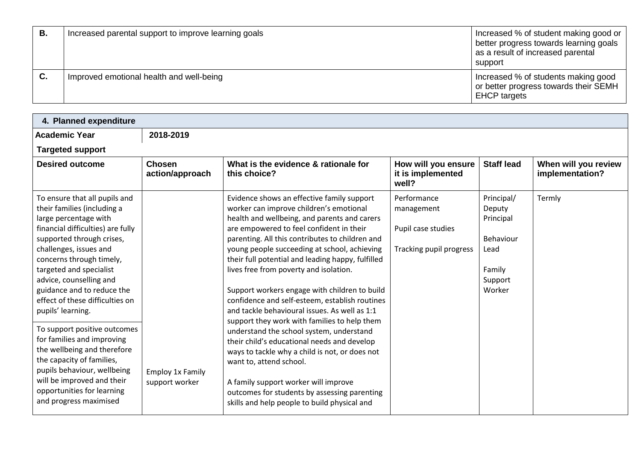| В. | Increased parental support to improve learning goals | Increased % of student making good or<br>better progress towards learning goals<br>as a result of increased parental<br>support |
|----|------------------------------------------------------|---------------------------------------------------------------------------------------------------------------------------------|
| C. | Improved emotional health and well-being             | Increased % of students making good<br>or better progress towards their SEMH<br><b>EHCP</b> targets                             |

| <b>Academic Year</b>                                                                                                                                                                                                                                                                                                                                                                                                                                                                                                                             | 2018-2019                                 |                                                                                                                                                                                                                                                                                                                                                                                                                                                                                                                                                                                                                                                                                                                                                                                                         |                                                                            |                                                                                       |                                         |  |
|--------------------------------------------------------------------------------------------------------------------------------------------------------------------------------------------------------------------------------------------------------------------------------------------------------------------------------------------------------------------------------------------------------------------------------------------------------------------------------------------------------------------------------------------------|-------------------------------------------|---------------------------------------------------------------------------------------------------------------------------------------------------------------------------------------------------------------------------------------------------------------------------------------------------------------------------------------------------------------------------------------------------------------------------------------------------------------------------------------------------------------------------------------------------------------------------------------------------------------------------------------------------------------------------------------------------------------------------------------------------------------------------------------------------------|----------------------------------------------------------------------------|---------------------------------------------------------------------------------------|-----------------------------------------|--|
| <b>Targeted support</b>                                                                                                                                                                                                                                                                                                                                                                                                                                                                                                                          |                                           |                                                                                                                                                                                                                                                                                                                                                                                                                                                                                                                                                                                                                                                                                                                                                                                                         |                                                                            |                                                                                       |                                         |  |
| <b>Desired outcome</b>                                                                                                                                                                                                                                                                                                                                                                                                                                                                                                                           | <b>Chosen</b><br>action/approach          | What is the evidence & rationale for<br>this choice?                                                                                                                                                                                                                                                                                                                                                                                                                                                                                                                                                                                                                                                                                                                                                    | How will you ensure<br>it is implemented<br>well?                          | <b>Staff lead</b>                                                                     | When will you review<br>implementation? |  |
| To ensure that all pupils and<br>their families (including a<br>large percentage with<br>financial difficulties) are fully<br>supported through crises,<br>challenges, issues and<br>concerns through timely,<br>targeted and specialist<br>advice, counselling and<br>guidance and to reduce the<br>effect of these difficulties on<br>pupils' learning.<br>To support positive outcomes<br>for families and improving<br>the wellbeing and therefore<br>the capacity of families,<br>pupils behaviour, wellbeing<br>will be improved and their | <b>Employ 1x Family</b><br>support worker | Evidence shows an effective family support<br>worker can improve children's emotional<br>health and wellbeing, and parents and carers<br>are empowered to feel confident in their<br>parenting. All this contributes to children and<br>young people succeeding at school, achieving<br>their full potential and leading happy, fulfilled<br>lives free from poverty and isolation.<br>Support workers engage with children to build<br>confidence and self-esteem, establish routines<br>and tackle behavioural issues. As well as 1:1<br>support they work with families to help them<br>understand the school system, understand<br>their child's educational needs and develop<br>ways to tackle why a child is not, or does not<br>want to, attend school.<br>A family support worker will improve | Performance<br>management<br>Pupil case studies<br>Tracking pupil progress | Principal/<br>Deputy<br>Principal<br>Behaviour<br>Lead<br>Family<br>Support<br>Worker | Termly                                  |  |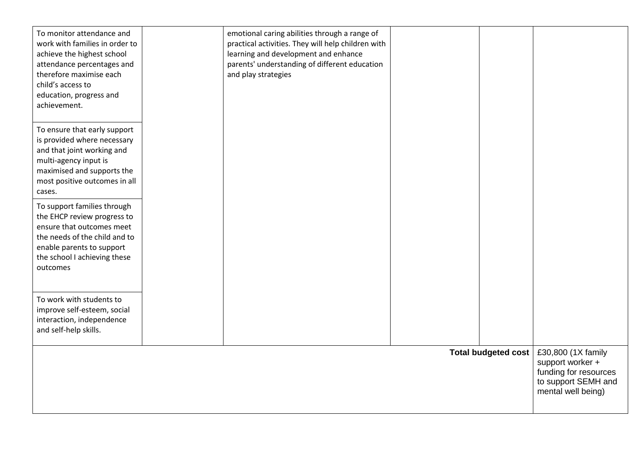| To monitor attendance and<br>work with families in order to<br>achieve the highest school<br>attendance percentages and<br>therefore maximise each<br>child's access to<br>education, progress and<br>achievement. | emotional caring abilities through a range of<br>practical activities. They will help children with<br>learning and development and enhance<br>parents' understanding of different education<br>and play strategies |                     |                                                                                                              |
|--------------------------------------------------------------------------------------------------------------------------------------------------------------------------------------------------------------------|---------------------------------------------------------------------------------------------------------------------------------------------------------------------------------------------------------------------|---------------------|--------------------------------------------------------------------------------------------------------------|
| To ensure that early support<br>is provided where necessary<br>and that joint working and<br>multi-agency input is<br>maximised and supports the<br>most positive outcomes in all<br>cases.                        |                                                                                                                                                                                                                     |                     |                                                                                                              |
| To support families through<br>the EHCP review progress to<br>ensure that outcomes meet<br>the needs of the child and to<br>enable parents to support<br>the school I achieving these<br>outcomes                  |                                                                                                                                                                                                                     |                     |                                                                                                              |
| To work with students to<br>improve self-esteem, social<br>interaction, independence<br>and self-help skills.                                                                                                      |                                                                                                                                                                                                                     |                     |                                                                                                              |
|                                                                                                                                                                                                                    |                                                                                                                                                                                                                     | Total budgeted cost | £30,800 (1X family<br>support worker +<br>funding for resources<br>to support SEMH and<br>mental well being) |